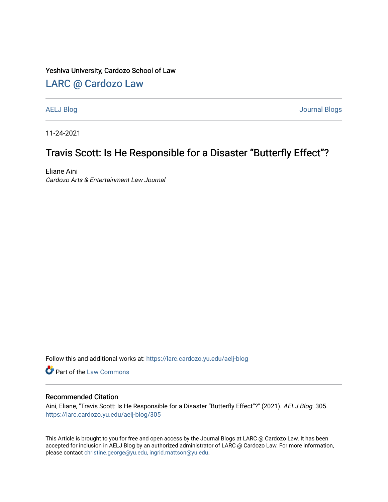#### Yeshiva University, Cardozo School of Law

## [LARC @ Cardozo Law](https://larc.cardozo.yu.edu/)

[AELJ Blog](https://larc.cardozo.yu.edu/aelj-blog) [Journal Blogs](https://larc.cardozo.yu.edu/journal-blogs) 

11-24-2021

# Travis Scott: Is He Responsible for a Disaster "Butterfly Effect"?

Eliane Aini Cardozo Arts & Entertainment Law Journal

Follow this and additional works at: [https://larc.cardozo.yu.edu/aelj-blog](https://larc.cardozo.yu.edu/aelj-blog?utm_source=larc.cardozo.yu.edu%2Faelj-blog%2F305&utm_medium=PDF&utm_campaign=PDFCoverPages) 

Part of the [Law Commons](http://network.bepress.com/hgg/discipline/578?utm_source=larc.cardozo.yu.edu%2Faelj-blog%2F305&utm_medium=PDF&utm_campaign=PDFCoverPages)

#### Recommended Citation

Aini, Eliane, "Travis Scott: Is He Responsible for a Disaster "Butterfly Effect"?" (2021). AELJ Blog. 305. [https://larc.cardozo.yu.edu/aelj-blog/305](https://larc.cardozo.yu.edu/aelj-blog/305?utm_source=larc.cardozo.yu.edu%2Faelj-blog%2F305&utm_medium=PDF&utm_campaign=PDFCoverPages) 

This Article is brought to you for free and open access by the Journal Blogs at LARC @ Cardozo Law. It has been accepted for inclusion in AELJ Blog by an authorized administrator of LARC @ Cardozo Law. For more information, please contact [christine.george@yu.edu, ingrid.mattson@yu.edu.](mailto:christine.george@yu.edu,%20ingrid.mattson@yu.edu)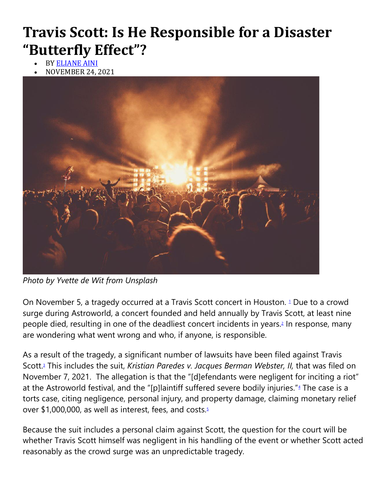# **Travis Scott: Is He Responsible for a Disaster "Butterfly Effect"?**

- **BY [ELIANE AINI](https://cardozoaelj.com/author/eliane-aini/)**
- NOVEMBER 24, 2021



*Photo by Yvette de Wit from Unsplash*

On November 5, a tragedy occurred at a Travis Scott concert in Houston. <sup>[1](https://cardozoaelj.com/2021/11/24/travis-scott-is-he-responsible-for-a-disaster-butterfly-effect/#easy-footnote-bottom-1-7419)</sup> Due to a crowd surge during Astroworld, a concert founded and held annually by Travis Scott, at least nine people died, resulting in one of the deadliest concert incidents in years[.](https://cardozoaelj.com/2021/11/24/travis-scott-is-he-responsible-for-a-disaster-butterfly-effect/#easy-footnote-bottom-2-7419)<sup>2</sup> In response, many are wondering what went wrong and who, if anyone, is responsible.

As a result of the tragedy, a significant number of lawsuits have been filed against Travis Scott[.](https://cardozoaelj.com/2021/11/24/travis-scott-is-he-responsible-for-a-disaster-butterfly-effect/#easy-footnote-bottom-3-7419)<sup>3</sup> This includes the suit, *Kristian Paredes v. Jacques Berman Webster, II,* that was filed on November 7, 2021. The allegation is that the "[d]efendants were negligent for inciting a riot" at the Astroworld festival, and the ["](https://cardozoaelj.com/2021/11/24/travis-scott-is-he-responsible-for-a-disaster-butterfly-effect/#easy-footnote-bottom-4-7419)[p]laintiff suffered severe bodily injuries."<sup>4</sup> The case is a torts case, citing negligence, personal injury, and property damage, claiming monetary relief over \$1,000,000, as well as interest, fees, and costs[.](https://cardozoaelj.com/2021/11/24/travis-scott-is-he-responsible-for-a-disaster-butterfly-effect/#easy-footnote-bottom-5-7419) $5$ 

Because the suit includes a personal claim against Scott, the question for the court will be whether Travis Scott himself was negligent in his handling of the event or whether Scott acted reasonably as the crowd surge was an unpredictable tragedy.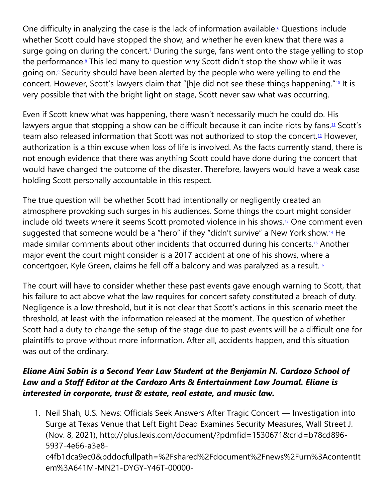One difficulty in analyzing the case is the lack of information available[.](https://cardozoaelj.com/2021/11/24/travis-scott-is-he-responsible-for-a-disaster-butterfly-effect/#easy-footnote-bottom-6-7419)<sup>6</sup> Questions include whether Scott could have stopped the show, and whether he even knew that there was a surge going on during the concert[.](https://cardozoaelj.com/2021/11/24/travis-scott-is-he-responsible-for-a-disaster-butterfly-effect/#easy-footnote-bottom-7-7419)<sup>7</sup> During the surge, fans went onto the stage yelling to stop the performance[.](https://cardozoaelj.com/2021/11/24/travis-scott-is-he-responsible-for-a-disaster-butterfly-effect/#easy-footnote-bottom-8-7419)<sup>8</sup> This led many to question why Scott didn't stop the show while it was going on[.](https://cardozoaelj.com/2021/11/24/travis-scott-is-he-responsible-for-a-disaster-butterfly-effect/#easy-footnote-bottom-9-7419)<sup>9</sup> Security should have been alerted by the people who were yelling to end the concert. However, Scott's lawyers claim that "[h]e did not see these things happening."<sup>[10](https://cardozoaelj.com/2021/11/24/travis-scott-is-he-responsible-for-a-disaster-butterfly-effect/#easy-footnote-bottom-10-7419)</sup> It is very possible that with the bright light on stage, Scott never saw what was occurring.

Even if Scott knew what was happening, there wasn't necessarily much he could do. His lawyers argue that stopping a show can be difficult because it can incite riots by fans.<sup>[11](https://cardozoaelj.com/2021/11/24/travis-scott-is-he-responsible-for-a-disaster-butterfly-effect/#easy-footnote-bottom-11-7419)</sup> Scott's team also released information that Scott was not authorized to stop the concert.<sup>[12](https://cardozoaelj.com/2021/11/24/travis-scott-is-he-responsible-for-a-disaster-butterfly-effect/#easy-footnote-bottom-12-7419)</sup> However, authorization is a thin excuse when loss of life is involved. As the facts currently stand, there is not enough evidence that there was anything Scott could have done during the concert that would have changed the outcome of the disaster. Therefore, lawyers would have a weak case holding Scott personally accountable in this respect.

The true question will be whether Scott had intentionally or negligently created an atmosphere provoking such surges in his audiences. Some things the court might consider include old tweets where it seems Scott promoted violence in his shows.[13](https://cardozoaelj.com/2021/11/24/travis-scott-is-he-responsible-for-a-disaster-butterfly-effect/#easy-footnote-bottom-13-7419) One comment even suggested that someone would be a "hero" if they "didn't survive" a New York show.<sup>[14](https://cardozoaelj.com/2021/11/24/travis-scott-is-he-responsible-for-a-disaster-butterfly-effect/#easy-footnote-bottom-14-7419)</sup> He made similar comments about other incidents that occurred during his concerts.[15](https://cardozoaelj.com/2021/11/24/travis-scott-is-he-responsible-for-a-disaster-butterfly-effect/#easy-footnote-bottom-15-7419) Another major event the court might consider is a 2017 accident at one of his shows, where a concertgoer, Kyle Green, claims he fell off a balcony and was paralyzed as a result.[16](https://cardozoaelj.com/2021/11/24/travis-scott-is-he-responsible-for-a-disaster-butterfly-effect/#easy-footnote-bottom-16-7419)

The court will have to consider whether these past events gave enough warning to Scott, that his failure to act above what the law requires for concert safety constituted a breach of duty. Negligence is a low threshold, but it is not clear that Scott's actions in this scenario meet the threshold, at least with the information released at the moment. The question of whether Scott had a duty to change the setup of the stage due to past events will be a difficult one for plaintiffs to prove without more information. After all, accidents happen, and this situation was out of the ordinary.

## *Eliane Aini Sabin is a Second Year Law Student at the Benjamin N. Cardozo School of Law and a Staff Editor at the Cardozo Arts & Entertainment Law Journal. Eliane is interested in corporate, trust & estate, real estate, and music law.*

1. Neil Shah, U.S. News: Officials Seek Answers After Tragic Concert — Investigation into Surge at Texas Venue that Left Eight Dead Examines Security Measures, Wall Street J. (Nov. 8, 2021), http://plus.lexis.com/document/?pdmfid=1530671&crid=b78cd896- 5937-4e66-a3e8-

c4fb1dca9ec0&pddocfullpath=%2Fshared%2Fdocument%2Fnews%2Furn%3AcontentIt em%3A641M-MN21-DYGY-Y46T-00000-